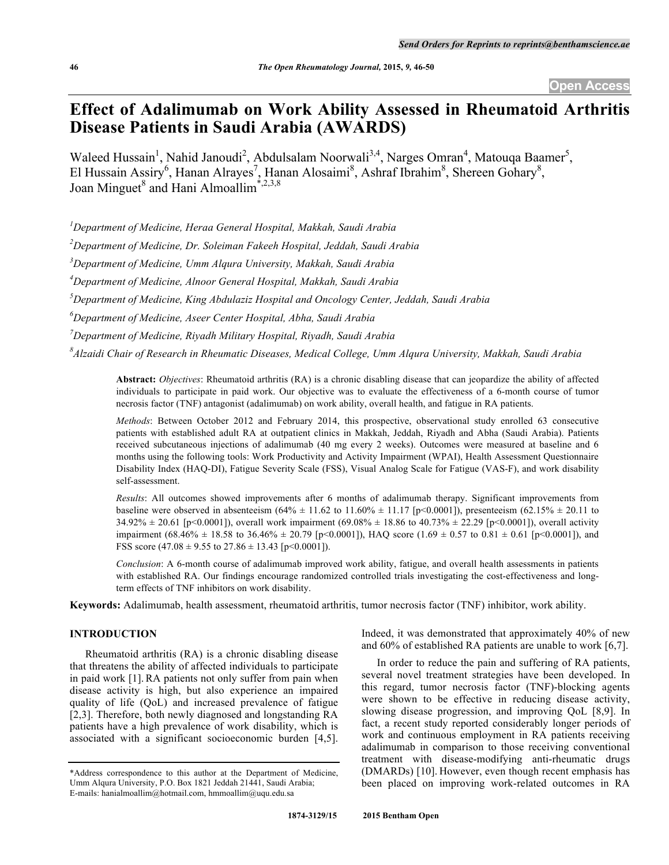# **Effect of Adalimumab on Work Ability Assessed in Rheumatoid Arthritis Disease Patients in Saudi Arabia (AWARDS)**

Waleed Hussain<sup>1</sup>, Nahid Janoudi<sup>2</sup>, Abdulsalam Noorwali<sup>3,4</sup>, Narges Omran<sup>4</sup>, Matouqa Baamer<sup>5</sup>, El Hussain Assiry<sup>6</sup>, Hanan Alrayes<sup>7</sup>, Hanan Alosaimi<sup>8</sup>, Ashraf Ibrahim<sup>8</sup>, Shereen Gohary<sup>8</sup>, Joan Minguet<sup>8</sup> and Hani Almoallim<sup> $*$ ,2,3,8</sup>

*1 Department of Medicine, Heraa General Hospital, Makkah, Saudi Arabia*

*2 Department of Medicine, Dr. Soleiman Fakeeh Hospital, Jeddah, Saudi Arabia*

*3 Department of Medicine, Umm Alqura University, Makkah, Saudi Arabia*

*4 Department of Medicine, Alnoor General Hospital, Makkah, Saudi Arabia*

*5 Department of Medicine, King Abdulaziz Hospital and Oncology Center, Jeddah, Saudi Arabia*

*6 Department of Medicine, Aseer Center Hospital, Abha, Saudi Arabia*

*7 Department of Medicine, Riyadh Military Hospital, Riyadh, Saudi Arabia*

*8 Alzaidi Chair of Research in Rheumatic Diseases, Medical College, Umm Alqura University, Makkah, Saudi Arabia*

**Abstract:** *Objectives*: Rheumatoid arthritis (RA) is a chronic disabling disease that can jeopardize the ability of affected individuals to participate in paid work. Our objective was to evaluate the effectiveness of a 6-month course of tumor necrosis factor (TNF) antagonist (adalimumab) on work ability, overall health, and fatigue in RA patients.

*Methods*: Between October 2012 and February 2014, this prospective, observational study enrolled 63 consecutive patients with established adult RA at outpatient clinics in Makkah, Jeddah, Riyadh and Abha (Saudi Arabia). Patients received subcutaneous injections of adalimumab (40 mg every 2 weeks). Outcomes were measured at baseline and 6 months using the following tools: Work Productivity and Activity Impairment (WPAI), Health Assessment Questionnaire Disability Index (HAQ-DI), Fatigue Severity Scale (FSS), Visual Analog Scale for Fatigue (VAS-F), and work disability self-assessment.

*Results*: All outcomes showed improvements after 6 months of adalimumab therapy. Significant improvements from baseline were observed in absenteeism  $(64\% \pm 11.62 \text{ to } 11.60\% \pm 11.17 \text{ [p<0.0001]})$ , presenteeism  $(62.15\% \pm 20.11 \text{ to } 11.62 \text{]}$  $34.92\% \pm 20.61$  [p<0.0001]), overall work impairment  $(69.08\% \pm 18.86$  to  $40.73\% \pm 22.29$  [p<0.0001]), overall activity impairment (68.46% ± 18.58 to 36.46% ± 20.79 [p<0.0001]), HAQ score (1.69 ± 0.57 to 0.81 ± 0.61 [p<0.0001]), and FSS score  $(47.08 \pm 9.55 \text{ to } 27.86 \pm 13.43 \text{ [p<0.0001]}).$ 

*Conclusion*: A 6-month course of adalimumab improved work ability, fatigue, and overall health assessments in patients with established RA. Our findings encourage randomized controlled trials investigating the cost-effectiveness and longterm effects of TNF inhibitors on work disability.

**Keywords:** Adalimumab, health assessment, rheumatoid arthritis, tumor necrosis factor (TNF) inhibitor, work ability.

# **INTRODUCTION**

Rheumatoid arthritis (RA) is a chronic disabling disease that threatens the ability of affected individuals to participate in paid work [1].RA patients not only suffer from pain when disease activity is high, but also experience an impaired quality of life (QoL) and increased prevalence of fatigue [2,3]. Therefore, both newly diagnosed and longstanding RA patients have a high prevalence of work disability, which is associated with a significant socioeconomic burden [4,5].

Indeed, it was demonstrated that approximately 40% of new and 60% of established RA patients are unable to work [6,7].

In order to reduce the pain and suffering of RA patients, several novel treatment strategies have been developed. In this regard, tumor necrosis factor (TNF)-blocking agents were shown to be effective in reducing disease activity, slowing disease progression, and improving QoL [8,9]. In fact, a recent study reported considerably longer periods of work and continuous employment in RA patients receiving adalimumab in comparison to those receiving conventional treatment with disease-modifying anti-rheumatic drugs (DMARDs) [10]. However, even though recent emphasis has been placed on improving work-related outcomes in RA

<sup>\*</sup>Address correspondence to this author at the Department of Medicine, Umm Alqura University, P.O. Box 1821 Jeddah 21441, Saudi Arabia; E-mails: hanialmoallim@hotmail.com, hmmoallim@uqu.edu.sa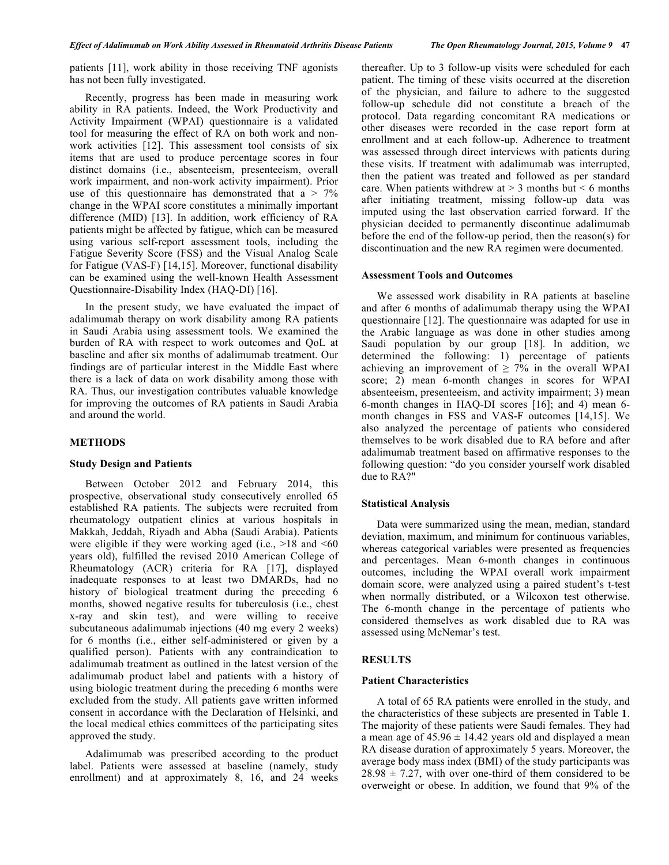patients [11], work ability in those receiving TNF agonists has not been fully investigated.

Recently, progress has been made in measuring work ability in RA patients. Indeed, the Work Productivity and Activity Impairment (WPAI) questionnaire is a validated tool for measuring the effect of RA on both work and nonwork activities [12]. This assessment tool consists of six items that are used to produce percentage scores in four distinct domains (i.e., absenteeism, presenteeism, overall work impairment, and non-work activity impairment). Prior use of this questionnaire has demonstrated that  $a > 7\%$ change in the WPAI score constitutes a minimally important difference (MID) [13]. In addition, work efficiency of RA patients might be affected by fatigue, which can be measured using various self-report assessment tools, including the Fatigue Severity Score (FSS) and the Visual Analog Scale for Fatigue (VAS-F) [14,15]. Moreover, functional disability can be examined using the well-known Health Assessment Questionnaire-Disability Index (HAQ-DI) [16].

In the present study, we have evaluated the impact of adalimumab therapy on work disability among RA patients in Saudi Arabia using assessment tools. We examined the burden of RA with respect to work outcomes and QoL at baseline and after six months of adalimumab treatment. Our findings are of particular interest in the Middle East where there is a lack of data on work disability among those with RA. Thus, our investigation contributes valuable knowledge for improving the outcomes of RA patients in Saudi Arabia and around the world.

# **METHODS**

# **Study Design and Patients**

Between October 2012 and February 2014, this prospective, observational study consecutively enrolled 65 established RA patients. The subjects were recruited from rheumatology outpatient clinics at various hospitals in Makkah, Jeddah, Riyadh and Abha (Saudi Arabia). Patients were eligible if they were working aged (i.e.,  $>18$  and  $< 60$ ) years old), fulfilled the revised 2010 American College of Rheumatology (ACR) criteria for RA [17], displayed inadequate responses to at least two DMARDs, had no history of biological treatment during the preceding 6 months, showed negative results for tuberculosis (i.e., chest x-ray and skin test), and were willing to receive subcutaneous adalimumab injections (40 mg every 2 weeks) for 6 months (i.e., either self-administered or given by a qualified person). Patients with any contraindication to adalimumab treatment as outlined in the latest version of the adalimumab product label and patients with a history of using biologic treatment during the preceding 6 months were excluded from the study. All patients gave written informed consent in accordance with the Declaration of Helsinki, and the local medical ethics committees of the participating sites approved the study.

Adalimumab was prescribed according to the product label. Patients were assessed at baseline (namely, study enrollment) and at approximately 8, 16, and 24 weeks

thereafter. Up to 3 follow-up visits were scheduled for each patient. The timing of these visits occurred at the discretion of the physician, and failure to adhere to the suggested follow-up schedule did not constitute a breach of the protocol. Data regarding concomitant RA medications or other diseases were recorded in the case report form at enrollment and at each follow-up. Adherence to treatment was assessed through direct interviews with patients during these visits. If treatment with adalimumab was interrupted, then the patient was treated and followed as per standard care. When patients withdrew at  $> 3$  months but  $\leq 6$  months after initiating treatment, missing follow-up data was imputed using the last observation carried forward. If the physician decided to permanently discontinue adalimumab before the end of the follow-up period, then the reason(s) for discontinuation and the new RA regimen were documented.

#### **Assessment Tools and Outcomes**

We assessed work disability in RA patients at baseline and after 6 months of adalimumab therapy using the WPAI questionnaire [12]. The questionnaire was adapted for use in the Arabic language as was done in other studies among Saudi population by our group [18]. In addition, we determined the following: 1) percentage of patients achieving an improvement of  $\geq$  7% in the overall WPAI score; 2) mean 6-month changes in scores for WPAI absenteeism, presenteeism, and activity impairment; 3) mean 6-month changes in HAQ-DI scores [16]; and 4) mean 6 month changes in FSS and VAS-F outcomes [14,15]. We also analyzed the percentage of patients who considered themselves to be work disabled due to RA before and after adalimumab treatment based on affirmative responses to the following question: "do you consider yourself work disabled due to RA?"

# **Statistical Analysis**

Data were summarized using the mean, median, standard deviation, maximum, and minimum for continuous variables, whereas categorical variables were presented as frequencies and percentages. Mean 6-month changes in continuous outcomes, including the WPAI overall work impairment domain score, were analyzed using a paired student's t-test when normally distributed, or a Wilcoxon test otherwise. The 6-month change in the percentage of patients who considered themselves as work disabled due to RA was assessed using McNemar's test.

# **RESULTS**

### **Patient Characteristics**

A total of 65 RA patients were enrolled in the study, and the characteristics of these subjects are presented in Table **1**. The majority of these patients were Saudi females. They had a mean age of  $45.96 \pm 14.42$  years old and displayed a mean RA disease duration of approximately 5 years. Moreover, the average body mass index (BMI) of the study participants was  $28.98 \pm 7.27$ , with over one-third of them considered to be overweight or obese. In addition, we found that 9% of the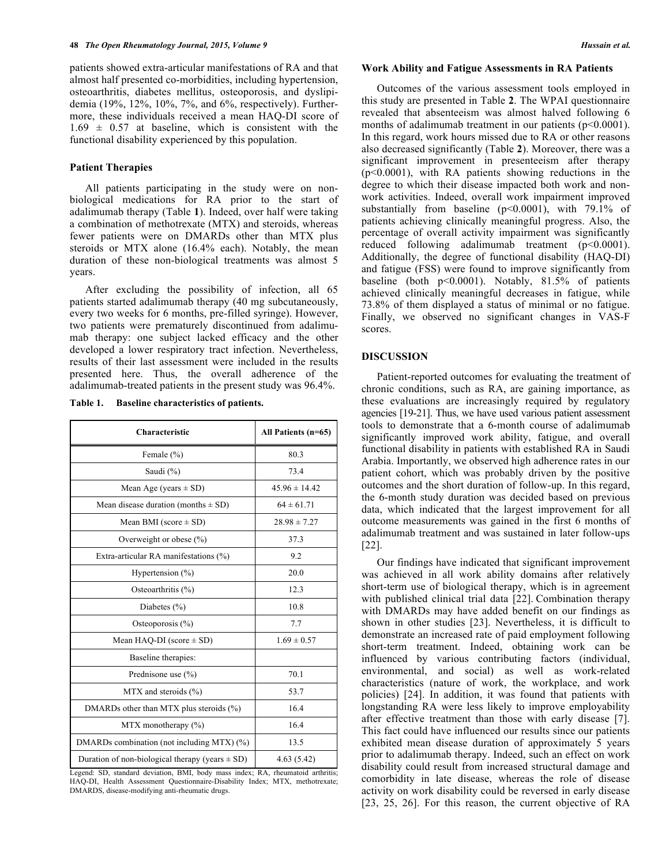patients showed extra-articular manifestations of RA and that almost half presented co-morbidities, including hypertension, osteoarthritis, diabetes mellitus, osteoporosis, and dyslipidemia (19%, 12%, 10%, 7%, and 6%, respectively). Furthermore, these individuals received a mean HAQ-DI score of  $1.69 \pm 0.57$  at baseline, which is consistent with the functional disability experienced by this population.

# **Patient Therapies**

All patients participating in the study were on nonbiological medications for RA prior to the start of adalimumab therapy (Table **1**). Indeed, over half were taking a combination of methotrexate (MTX) and steroids, whereas fewer patients were on DMARDs other than MTX plus steroids or MTX alone (16.4% each). Notably, the mean duration of these non-biological treatments was almost 5 years.

After excluding the possibility of infection, all 65 patients started adalimumab therapy (40 mg subcutaneously, every two weeks for 6 months, pre-filled syringe). However, two patients were prematurely discontinued from adalimumab therapy: one subject lacked efficacy and the other developed a lower respiratory tract infection. Nevertheless, results of their last assessment were included in the results presented here. Thus, the overall adherence of the adalimumab-treated patients in the present study was 96.4%.

**Table 1. Baseline characteristics of patients.**

| Characteristic                                      | All Patients (n=65) |
|-----------------------------------------------------|---------------------|
| Female $(\% )$                                      | 80.3                |
| Saudi (%)                                           | 73.4                |
| Mean Age (years $\pm$ SD)                           | $45.96 \pm 14.42$   |
| Mean disease duration (months $\pm$ SD)             | $64 \pm 61.71$      |
| Mean BMI (score $\pm$ SD)                           | $28.98 \pm 7.27$    |
| Overweight or obese $(\% )$                         | 37.3                |
| Extra-articular RA manifestations (%)               | 9.2                 |
| Hypertension $(\% )$                                | 20.0                |
| Osteoarthritis $(\% )$                              | 12.3                |
| Diabetes $(\% )$                                    | 10.8                |
| Osteoporosis $(\% )$                                | 7.7                 |
| Mean HAQ-DI (score $\pm$ SD)                        | $1.69 \pm 0.57$     |
| Baseline therapies:                                 |                     |
| Prednisone use $(\% )$                              | 70.1                |
| $MTX$ and steroids $(\% )$                          | 53.7                |
| DMARDs other than MTX plus steroids (%)             | 16.4                |
| MTX monotherapy $(\% )$                             | 16.4                |
| DMARDs combination (not including MTX) (%)          | 13.5                |
| Duration of non-biological therapy (years $\pm$ SD) | 4.63(5.42)          |

Legend: SD, standard deviation, BMI, body mass index; RA, rheumatoid arthritis; HAQ-DI, Health Assessment Questionnaire-Disability Index; MTX, methotrexate; DMARDS, disease-modifying anti-rheumatic drugs.

#### **Work Ability and Fatigue Assessments in RA Patients**

Outcomes of the various assessment tools employed in this study are presented in Table **2**. The WPAI questionnaire revealed that absenteeism was almost halved following 6 months of adalimumab treatment in our patients (p<0.0001). In this regard, work hours missed due to RA or other reasons also decreased significantly (Table **2**). Moreover, there was a significant improvement in presenteeism after therapy (p<0.0001), with RA patients showing reductions in the degree to which their disease impacted both work and nonwork activities. Indeed, overall work impairment improved substantially from baseline (p<0.0001), with 79.1% of patients achieving clinically meaningful progress. Also, the percentage of overall activity impairment was significantly reduced following adalimumab treatment (p<0.0001). Additionally, the degree of functional disability (HAQ-DI) and fatigue (FSS) were found to improve significantly from baseline (both p<0.0001). Notably, 81.5% of patients achieved clinically meaningful decreases in fatigue, while 73.8% of them displayed a status of minimal or no fatigue. Finally, we observed no significant changes in VAS-F scores.

# **DISCUSSION**

Patient-reported outcomes for evaluating the treatment of chronic conditions, such as RA, are gaining importance, as these evaluations are increasingly required by regulatory agencies [19-21]. Thus, we have used various patient assessment tools to demonstrate that a 6-month course of adalimumab significantly improved work ability, fatigue, and overall functional disability in patients with established RA in Saudi Arabia. Importantly, we observed high adherence rates in our patient cohort, which was probably driven by the positive outcomes and the short duration of follow-up. In this regard, the 6-month study duration was decided based on previous data, which indicated that the largest improvement for all outcome measurements was gained in the first 6 months of adalimumab treatment and was sustained in later follow-ups [22].

Our findings have indicated that significant improvement was achieved in all work ability domains after relatively short-term use of biological therapy, which is in agreement with published clinical trial data [22]. Combination therapy with DMARDs may have added benefit on our findings as shown in other studies [23]. Nevertheless, it is difficult to demonstrate an increased rate of paid employment following short-term treatment. Indeed, obtaining work can be influenced by various contributing factors (individual, environmental, and social) as well as work-related characteristics (nature of work, the workplace, and work policies) [24]. In addition, it was found that patients with longstanding RA were less likely to improve employability after effective treatment than those with early disease [7]. This fact could have influenced our results since our patients exhibited mean disease duration of approximately 5 years prior to adalimumab therapy. Indeed, such an effect on work disability could result from increased structural damage and comorbidity in late disease, whereas the role of disease activity on work disability could be reversed in early disease [23, 25, 26]. For this reason, the current objective of RA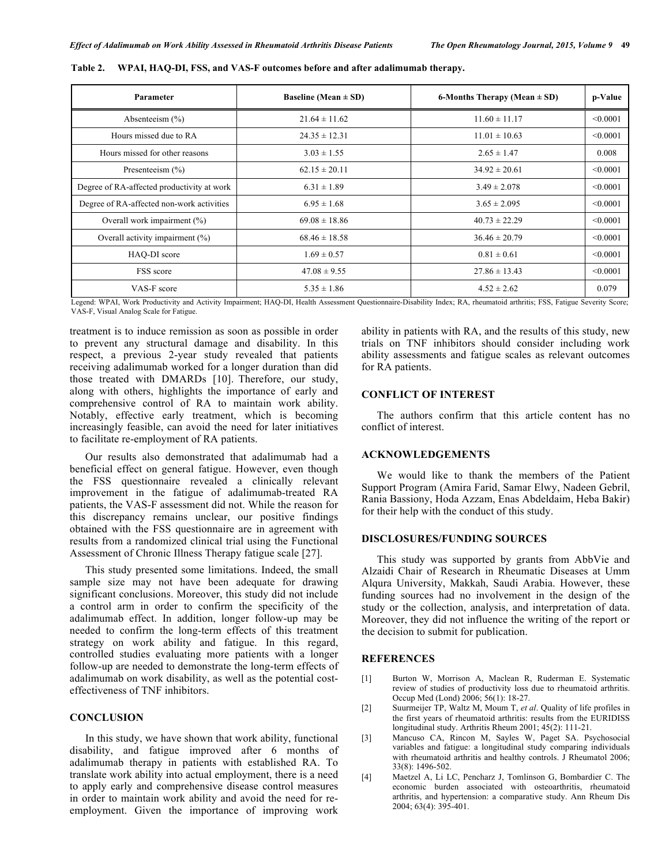| Parameter                                  | Baseline (Mean $\pm$ SD) | 6-Months Therapy (Mean $\pm$ SD) | p-Value  |
|--------------------------------------------|--------------------------|----------------------------------|----------|
| Absenteeism $(\% )$                        | $21.64 \pm 11.62$        | $11.60 \pm 11.17$                | < 0.0001 |
| Hours missed due to RA                     | $24.35 \pm 12.31$        | $11.01 \pm 10.63$                | < 0.0001 |
| Hours missed for other reasons             | $3.03 \pm 1.55$          | $2.65 \pm 1.47$                  | 0.008    |
| Presenteeism $(\% )$                       | $62.15 \pm 20.11$        | $34.92 \pm 20.61$                | < 0.0001 |
| Degree of RA-affected productivity at work | $6.31 \pm 1.89$          | $3.49 \pm 2.078$                 | < 0.0001 |
| Degree of RA-affected non-work activities  | $6.95 \pm 1.68$          | $3.65 \pm 2.095$                 | < 0.0001 |
| Overall work impairment (%)                | $69.08 \pm 18.86$        | $40.73 \pm 22.29$                | < 0.0001 |
| Overall activity impairment (%)            | $68.46 \pm 18.58$        | $36.46 \pm 20.79$                | < 0.0001 |
| HAO-DI score                               | $1.69 \pm 0.57$          | $0.81 \pm 0.61$                  | < 0.0001 |
| FSS score                                  | $47.08 \pm 9.55$         | $27.86 \pm 13.43$                | < 0.0001 |
| VAS-F score                                | $5.35 \pm 1.86$          | $4.52 \pm 2.62$                  | 0.079    |

**Table 2. WPAI, HAQ-DI, FSS, and VAS-F outcomes before and after adalimumab therapy.**

Legend: WPAI, Work Productivity and Activity Impairment; HAQ-DI, Health Assessment Questionnaire-Disability Index; RA, rheumatoid arthritis; FSS, Fatigue Severity Score; VAS-F, Visual Analog Scale for Fatigue.

treatment is to induce remission as soon as possible in order to prevent any structural damage and disability. In this respect, a previous 2-year study revealed that patients receiving adalimumab worked for a longer duration than did those treated with DMARDs [10]. Therefore, our study, along with others, highlights the importance of early and comprehensive control of RA to maintain work ability. Notably, effective early treatment, which is becoming increasingly feasible, can avoid the need for later initiatives to facilitate re-employment of RA patients.

Our results also demonstrated that adalimumab had a beneficial effect on general fatigue. However, even though the FSS questionnaire revealed a clinically relevant improvement in the fatigue of adalimumab-treated RA patients, the VAS-F assessment did not. While the reason for this discrepancy remains unclear, our positive findings obtained with the FSS questionnaire are in agreement with results from a randomized clinical trial using the Functional Assessment of Chronic Illness Therapy fatigue scale [27].

This study presented some limitations. Indeed, the small sample size may not have been adequate for drawing significant conclusions. Moreover, this study did not include a control arm in order to confirm the specificity of the adalimumab effect. In addition, longer follow-up may be needed to confirm the long-term effects of this treatment strategy on work ability and fatigue. In this regard, controlled studies evaluating more patients with a longer follow-up are needed to demonstrate the long-term effects of adalimumab on work disability, as well as the potential costeffectiveness of TNF inhibitors.

# **CONCLUSION**

In this study, we have shown that work ability, functional disability, and fatigue improved after 6 months of adalimumab therapy in patients with established RA. To translate work ability into actual employment, there is a need to apply early and comprehensive disease control measures in order to maintain work ability and avoid the need for reemployment. Given the importance of improving work

ability in patients with RA, and the results of this study, new trials on TNF inhibitors should consider including work ability assessments and fatigue scales as relevant outcomes for RA patients.

# **CONFLICT OF INTEREST**

The authors confirm that this article content has no conflict of interest.

# **ACKNOWLEDGEMENTS**

We would like to thank the members of the Patient Support Program (Amira Farid, Samar Elwy, Nadeen Gebril, Rania Bassiony, Hoda Azzam, Enas Abdeldaim, Heba Bakir) for their help with the conduct of this study.

#### **DISCLOSURES/FUNDING SOURCES**

This study was supported by grants from AbbVie and Alzaidi Chair of Research in Rheumatic Diseases at Umm Alqura University, Makkah, Saudi Arabia. However, these funding sources had no involvement in the design of the study or the collection, analysis, and interpretation of data. Moreover, they did not influence the writing of the report or the decision to submit for publication.

#### **REFERENCES**

- [1] Burton W, Morrison A, Maclean R, Ruderman E. Systematic review of studies of productivity loss due to rheumatoid arthritis. Occup Med (Lond) 2006; 56(1): 18-27.
- [2] Suurmeijer TP, Waltz M, Moum T, *et al*. Quality of life profiles in the first years of rheumatoid arthritis: results from the EURIDISS longitudinal study. Arthritis Rheum 2001; 45(2): 111-21.
- [3] Mancuso CA, Rincon M, Sayles W, Paget SA. Psychosocial variables and fatigue: a longitudinal study comparing individuals with rheumatoid arthritis and healthy controls. J Rheumatol 2006; 33(8): 1496-502.
- [4] Maetzel A, Li LC, Pencharz J, Tomlinson G, Bombardier C. The economic burden associated with osteoarthritis, rheumatoid arthritis, and hypertension: a comparative study. Ann Rheum Dis 2004; 63(4): 395-401.